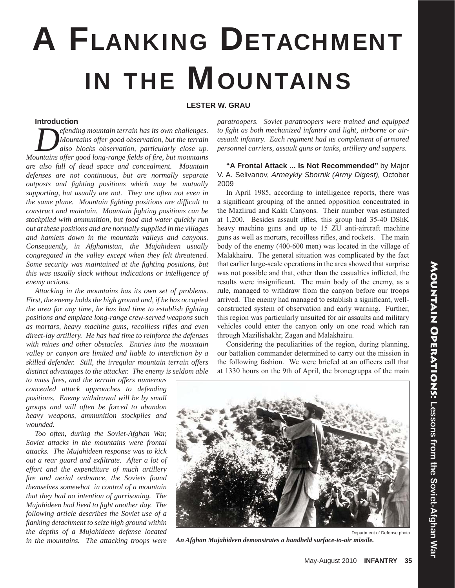# A FLANKING DETACHMENT IN THE MOUNTAINS

#### **LESTER W. GRAU**

#### **Introduction**

*Permain mountain terrain has its own challenges.*<br> *DMountains offer good observation, but the terrain also blocks observation, particularly close up. Mountains offer good observation, but the terrain also blocks observation, particularly close up. Mountains offer good long-range fi elds of fi re, but mountains are also full of dead space and concealment. Mountain defenses are not continuous, but are normally separate outposts and fi ghting positions which may be mutually supporting, but usually are not. They are often not even in the same plane. Mountain fighting positions are difficult to construct and maintain. Mountain fi ghting positions can be stockpiled with ammunition, but food and water quickly run out at these positions and are normally supplied in the villages and hamlets down in the mountain valleys and canyons. Consequently, in Afghanistan, the Mujahideen usually congregated in the valley except when they felt threatened. Some security was maintained at the fighting positions, but this was usually slack without indications or intelligence of enemy actions.*

*Attacking in the mountains has its own set of problems. First, the enemy holds the high ground and, if he has occupied the area for any time, he has had time to establish fighting positions and emplace long-range crew-served weapons such*   $as$  mortars, heavy machine guns, recoilless rifles and even *direct-lay artillery. He has had time to reinforce the defenses with mines and other obstacles. Entries into the mountain valley or canyon are limited and liable to interdiction by a skilled defender. Still, the irregular mountain terrain offers distinct advantages to the attacker. The enemy is seldom able* 

*to mass fi res, and the terrain offers numerous concealed attack approaches to defending positions. Enemy withdrawal will be by small groups and will often be forced to abandon heavy weapons, ammunition stockpiles and wounded.*

*Too often, during the Soviet-Afghan War, Soviet attacks in the mountains were frontal attacks. The Mujahideen response was to kick out a rear guard and exfiltrate. After a lot of effort and the expenditure of much artillery fi re and aerial ordnance, the Soviets found themselves somewhat in control of a mountain that they had no intention of garrisoning. The Mujahideen had lived to fi ght another day. The following article describes the Soviet use of a fl anking detachment to seize high ground within the depths of a Mujahideen defense located in the mountains. The attacking troops were* 

*paratroopers. Soviet paratroopers were trained and equipped*  to fight as both mechanized infantry and light, airborne or air*assault infantry. Each regiment had its complement of armored personnel carriers, assault guns or tanks, artillery and sappers.* 

#### **"A Frontal Attack ... Is Not Recommended"** by Major V. A. Selivanov, *Armeykiy Sbornik (Army Digest),* October 2009

In April 1985, according to intelligence reports, there was a significant grouping of the armed opposition concentrated in the Mazlirud and Kakh Canyons. Their number was estimated at 1,200. Besides assault rifles, this group had 35-40 DShK heavy machine guns and up to 15 ZU anti-aircraft machine guns as well as mortars, recoilless rifles, and rockets. The main body of the enemy (400-600 men) was located in the village of Malakhairu. The general situation was complicated by the fact that earlier large-scale operations in the area showed that surprise was not possible and that, other than the casualties inflicted, the results were insignificant. The main body of the enemy, as a rule, managed to withdraw from the canyon before our troops arrived. The enemy had managed to establish a significant, wellconstructed system of observation and early warning. Further, this region was particularly unsuited for air assaults and military vehicles could enter the canyon only on one road which ran through Mazilishakhr, Zagan and Malakhairu.

Considering the peculiarities of the region, during planning, our battalion commander determined to carry out the mission in the following fashion. We were briefed at an officers call that at 1330 hours on the 9th of April, the bronegruppa of the main



*An Afghan Mujahideen demonstrates a handheld surface-to-air missile.*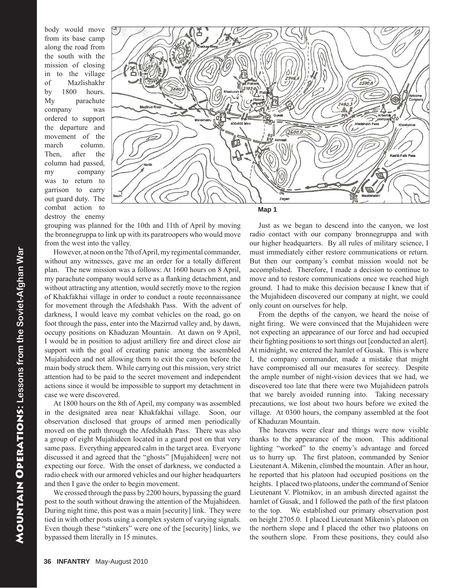body would move from its base camp along the road from the south with the mission of closing in to the village of Mazlishakhr by 1800 hours. My parachute company was ordered to support the departure and movement of the march column. Then, after the column had passed, my company was to return to garrison to carry out guard duty. The combat action to destroy the enemy



grouping was planned for the 10th and 11th of April by moving the bronnegruppa to link up with its paratroopers who would move from the west into the valley.

However, at noon on the 7th of April, my regimental commander, without any witnesses, gave me an order for a totally different plan. The new mission was a follows: At 1600 hours on 8 April, my parachute company would serve as a flanking detachment, and without attracting any attention, would secretly move to the region of Khakfakhai village in order to conduct a route reconnaissance for movement through the Afedshakh Pass. With the advent of darkness, I would leave my combat vehicles on the road, go on foot through the pass, enter into the Mazirrud valley and, by dawn, occupy positions on Khaduzan Mountain. At dawn on 9 April, I would be in position to adjust artillery fire and direct close air support with the goal of creating panic among the assembled Mujahideen and not allowing them to exit the canyon before the main body struck them. While carrying out this mission, very strict attention had to be paid to the secret movement and independent actions since it would be impossible to support my detachment in case we were discovered.

At 1800 hours on the 8th of April, my company was assembled in the designated area near Khakfakhai village. Soon, our observation disclosed that groups of armed men periodically moved on the path through the Afedshakh Pass. There was also a group of eight Mujahideen located in a guard post on that very same pass. Everything appeared calm in the target area. Everyone discussed it and agreed that the "ghosts" [Mujahideen] were not expecting our force. With the onset of darkness, we conducted a radio check with our armored vehicles and our higher headquarters and then I gave the order to begin movement.

We crossed through the pass by 2200 hours, bypassing the guard post to the south without drawing the attention of the Mujahideen. During night time, this post was a main [security] link. They were tied in with other posts using a complex system of varying signals. Even though these "stinkers" were one of the [security] links, we bypassed them literally in 15 minutes.

Just as we began to descend into the canyon, we lost radio contact with our company bronnegruppa and with our higher headquarters. By all rules of military science, I must immediately either restore communications or return. But then our company's combat mission would not be accomplished. Therefore, I made a decision to continue to move and to restore communications once we reached high ground. I had to make this decision because I knew that if the Mujahideen discovered our company at night, we could only count on ourselves for help.

From the depths of the canyon, we heard the noise of night firing. We were convinced that the Mujahideen were not expecting an appearance of our force and had occupied their fighting positions to sort things out [conducted an alert]. At midnight, we entered the hamlet of Gusak. This is where I, the company commander, made a mistake that might have compromised all our measures for secrecy. Despite the ample number of night-vision devices that we had, we discovered too late that there were two Mujahideen patrols that we barely avoided running into. Taking necessary precautions, we lost about two hours before we exited the village. At 0300 hours, the company assembled at the foot of Khaduzan Mountain.

The heavens were clear and things were now visible thanks to the appearance of the moon. This additional lighting "worked" to the enemy's advantage and forced us to hurry up. The first platoon, commanded by Senior Lieutenant A. Mikenin, climbed the mountain. After an hour, he reported that his platoon had occupied positions on the heights. I placed two platoons, under the command of Senior Lieutenant V. Plotnikov, in an ambush directed against the hamlet of Gusak, and I followed the path of the first platoon to the top. We established our primary observation post on height 2705.0. I placed Lieutenant Mikenin's platoon on the northern slope and I placed the other two platoons on the southern slope. From these positions, they could also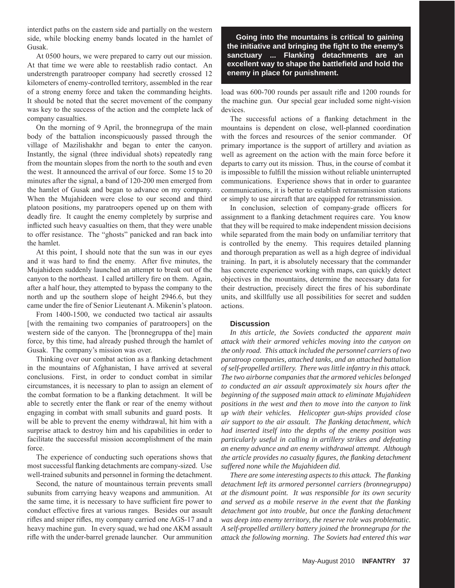interdict paths on the eastern side and partially on the western side, while blocking enemy bands located in the hamlet of Gusak.

At 0500 hours, we were prepared to carry out our mission. At that time we were able to reestablish radio contact. An understrength paratrooper company had secretly crossed 12 kilometers of enemy-controlled territory, assembled in the rear of a strong enemy force and taken the commanding heights. It should be noted that the secret movement of the company was key to the success of the action and the complete lack of company casualties.

On the morning of 9 April, the bronnegrupa of the main body of the battalion inconspicuously passed through the village of Mazilishakhr and began to enter the canyon. Instantly, the signal (three individual shots) repeatedly rang from the mountain slopes from the north to the south and even the west. It announced the arrival of our force. Some 15 to 20 minutes after the signal, a band of 120-200 men emerged from the hamlet of Gusak and began to advance on my company. When the Mujahideen were close to our second and third platoon positions, my paratroopers opened up on them with deadly fire. It caught the enemy completely by surprise and inflicted such heavy casualties on them, that they were unable to offer resistance. The "ghosts" panicked and ran back into the hamlet.

At this point, I should note that the sun was in our eyes and it was hard to find the enemy. After five minutes, the Mujahideen suddenly launched an attempt to break out of the canyon to the northeast. I called artillery fire on them. Again, after a half hour, they attempted to bypass the company to the north and up the southern slope of height 2946.6, but they came under the fire of Senior Lieutenant A. Mikenin's platoon.

From 1400-1500, we conducted two tactical air assaults [with the remaining two companies of paratroopers] on the western side of the canyon. The [bronnegruppa of the] main force, by this time, had already pushed through the hamlet of Gusak. The company's mission was over.

Thinking over our combat action as a flanking detachment in the mountains of Afghanistan, I have arrived at several conclusions. First, in order to conduct combat in similar circumstances, it is necessary to plan to assign an element of the combat formation to be a flanking detachment. It will be able to secretly enter the flank or rear of the enemy without engaging in combat with small subunits and guard posts. It will be able to prevent the enemy withdrawal, hit him with a surprise attack to destroy him and his capabilities in order to facilitate the successful mission accomplishment of the main force.

The experience of conducting such operations shows that most successful flanking detachments are company-sized. Use well-trained subunits and personnel in forming the detachment.

Second, the nature of mountainous terrain prevents small subunits from carrying heavy weapons and ammunition. At the same time, it is necessary to have sufficient fire power to conduct effective fires at various ranges. Besides our assault rifles and sniper rifles, my company carried one AGS-17 and a heavy machine gun. In every squad, we had one AKM assault rifle with the under-barrel grenade launcher. Our ammunition

**Going into the mountains is critical to gaining the initiative and bringing the he fight to the enemy's**  sanctuary ... Flanking detachments are an **excellent way to shape the battlefield and hold the enemy in place for punishment.** 

load was 600-700 rounds per assault rifle and 1200 rounds for the machine gun. Our special gear included some night-vision devices.

The successful actions of a flanking detachment in the mountains is dependent on close, well-planned coordination with the forces and resources of the senior commander. Of primary importance is the support of artillery and aviation as well as agreement on the action with the main force before it departs to carry out its mission. Thus, in the course of combat it is impossible to fulfill the mission without reliable uninterrupted communications. Experience shows that in order to guarantee communications, it is better to establish retransmission stations or simply to use aircraft that are equipped for retransmission.

In conclusion, selection of company-grade officers for assignment to a flanking detachment requires care. You know that they will be required to make independent mission decisions while separated from the main body on unfamiliar territory that is controlled by the enemy. This requires detailed planning and thorough preparation as well as a high degree of individual training. In part, it is absolutely necessary that the commander has concrete experience working with maps, can quickly detect objectives in the mountains, determine the necessary data for their destruction, precisely direct the fires of his subordinate units, and skillfully use all possibilities for secret and sudden actions.

#### **Discussion**

*In this article, the Soviets conducted the apparent main attack with their armored vehicles moving into the canyon on the only road. This attack included the personnel carriers of two paratroop companies, attached tanks, and an attached battalion of self-propelled artillery. There was little infantry in this attack. The two airborne companies that the armored vehicles belonged to conducted an air assault approximately six hours after the beginning of the supposed main attack to eliminate Mujahideen positions in the west and then to move into the canyon to link up with their vehicles. Helicopter gun-ships provided close air support to the air assault. The fl anking detachment, which had inserted itself into the depths of the enemy position was particularly useful in calling in artillery strikes and defeating an enemy advance and an enemy withdrawal attempt. Although the article provides no casualty figures, the flanking detachment suffered none while the Mujahideen did.* 

*There are some interesting aspects to this attack. The flanking detachment left its armored personnel carriers (bronnegruppa) at the dismount point. It was responsible for its own security and served as a mobile reserve in the event that the flanking detachment got into trouble, but once the fl anking detachment was deep into enemy territory, the reserve role was problematic. A self-propelled artillery battery joined the bronnegrupa for the attack the following morning. The Soviets had entered this war*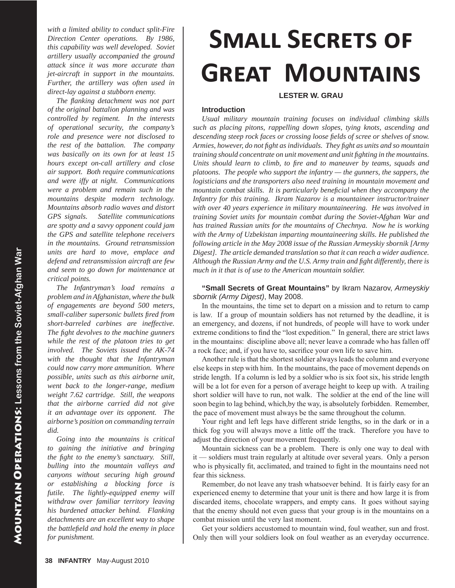*The fl anking detachment was not part of the original battalion planning and was controlled by regiment. In the interests of operational security, the company's role and presence were not disclosed to the rest of the battalion. The company was basically on its own for at least 15 hours except on-call artillery and close air support. Both require communications and were iffy at night. Communications were a problem and remain such in the mountains despite modern technology. Mountains absorb radio waves and distort GPS signals. Satellite communications are spotty and a savvy opponent could jam the GPS and satellite telephone receivers in the mountains. Ground retransmission units are hard to move, emplace and defend and retransmission aircraft are few and seem to go down for maintenance at critical points.*

*The Infantryman's load remains a problem and in Afghanistan, where the bulk of engagements are beyond 500 meters, small-caliber supersonic bullets fi red from short-barreled carbines are ineffective. The fi ght devolves to the machine gunners while the rest of the platoon tries to get involved. The Soviets issued the AK-74 with the thought that the Infantryman could now carry more ammunition. Where possible, units such as this airborne unit, went back to the longer-range, medium weight 7.62 cartridge. Still, the weapons that the airborne carried did not give it an advantage over its opponent. The airborne's position on commanding terrain did.*

*Going into the mountains is critical to gaining the initiative and bringing the fi ght to the enemy's sanctuary. Still, bulling into the mountain valleys and canyons without securing high ground or establishing a blocking force is futile. The lightly-equipped enemy will withdraw over familiar territory leaving his burdened attacker behind. Flanking detachments are an excellent way to shape the battlefi eld and hold the enemy in place for punishment.*

### **SMALL SECRETS OF GREAT MOUNTAINS**

#### **LESTER W. GRAU**

#### **Introduction**

*Usual military mountain training focuses on individual climbing skills such as placing pitons, rappelling down slopes, tying knots, ascending and descending steep rock faces or crossing loose fi elds of scree or shelves of snow. Armies, however, do not fi ght as individuals. They fi ght as units and so mountain training should concentrate on unit movement and unit fighting in the mountains. Units should learn to climb, to fire and to maneuver by teams, squads and platoons. The people who support the infantry — the gunners, the sappers, the logisticians and the transporters also need training in mountain movement and mountain combat skills. It is particularly beneficial when they accompany the Infantry for this training. Ikram Nazarov is a mountaineer instructor/trainer with over 40 years experience in military mountaineering. He was involved in training Soviet units for mountain combat during the Soviet-Afghan War and has trained Russian units for the mountains of Chechnya. Now he is working with the Army of Uzbekistan imparting mountaineering skills. He published the following article in the May 2008 issue of the Russian Armeyskiy sbornik [Army Digest]. The article demanded translation so that it can reach a wider audience. Although the Russian Army and the U.S. Army train and fi ght differently, there is much in it that is of use to the American mountain soldier.* 

**"Small Secrets of Great Mountains"** by Ikram Nazarov, *Armeyskiy sbornik (Army Digest)*, May 2008.

In the mountains, the time set to depart on a mission and to return to camp is law. If a group of mountain soldiers has not returned by the deadline, it is an emergency, and dozens, if not hundreds, of people will have to work under extreme conditions to find the "lost expedition." In general, there are strict laws in the mountains: discipline above all; never leave a comrade who has fallen off a rock face; and, if you have to, sacrifice your own life to save him.

Another rule is that the shortest soldier always leads the column and everyone else keeps in step with him. In the mountains, the pace of movement depends on stride length. If а column is led by a soldier who is six foot six, his stride length will be a lot for even for a person of average height to keep up with. A trailing short soldier will have to run, not walk. The soldier at the end of the line will soon begin to lag behind, which,by the way, is absolutely forbidden. Remember, the pace of movement must always be the same throughout the column.

Your right and left legs have different stride lengths, so in the dark or in a thick fog you will always move a little off the track. Therefore you have to adjust the direction of your movement frequently.

Mountain sickness can be a problem. There is only one way to deal with it — soldiers must train regularly at altitude over several years. Only a person who is physically fit, acclimated, and trained to fight in the mountains need not fear this sickness.

Remember, do not leave any trash whatsoever behind. It is fairly easy for an experienced enemy to determine that your unit is there and how large it is from discarded items, chocolate wrappers, and empty cans. It goes without saying that the enemy should not even guess that your group is in the mountains on a combat mission until the very last moment.

Get your soldiers accustomed to mountain wind, foul weather, sun and frost. Only then will your soldiers look on foul weather as an everyday occurrence.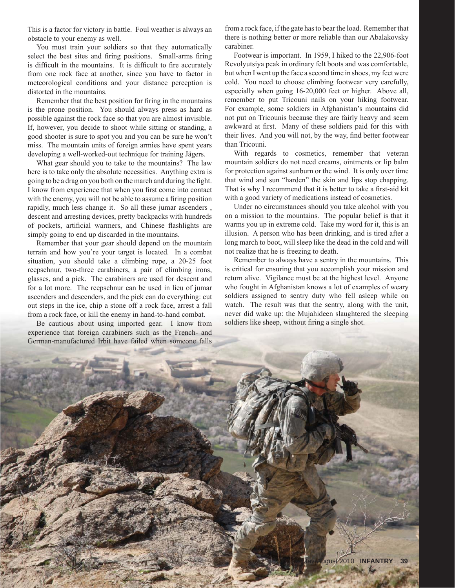This is a factor for victory in battle. Foul weather is always an obstacle to your enemy as well.

You must train your soldiers so that they automatically select the best sites and firing positions. Small-arms firing is difficult in the mountains. It is difficult to fire accurately from one rock face at another, since you have to factor in meteorological conditions and your distance perception is distorted in the mountains.

Remember that the best position for firing in the mountains is the prone position. You should always press as hard as possible against the rock face so that you are almost invisible. If, however, you decide to shoot while sitting or standing, a good shooter is sure to spot you and you can be sure he won't miss. The mountain units of foreign armies have spent years developing a well-worked-out technique for training Jägers.

What gear should you to take to the mountains? The law here is to take only the absolute necessities. Anything extra is going to be a drag on you both on the march and during the fight. I know from experience that when you first come into contact with the enemy, you will not be able to assume a firing position rapidly, much less change it. So all these jumar ascenders , descent and arresting devices, pretty backpacks with hundreds of pockets, artificial warmers, and Chinese flashlights are simply going to end up discarded in the mountains.

Remember that your gear should depend on the mountain terrain and how you're your target is located. In a combat situation, you should take a climbing rope, a 20-25 foot reepschnur, two-three carabiners, a pair of climbing irons, glasses, and a pick. The carabiners are used for descent and for a lot more. The reepschnur can be used in lieu of jumar ascenders and descenders, and the pick can do everything: cut out steps in the ice, chip a stone off a rock face, arrest a fall from a rock face, or kill the enemy in hand-to-hand combat.

Be cautious about using imported gear. I know from experience that foreign carabiners such as the French- and German-manufactured Irbit have failed when someone falls

from a rock face, if the gate has to bear the load. Remember that there is nothing better or more reliable than our Abalakovsky carabiner.

Footwear is important. In 1959, I hiked to the 22,906-foot Revolyutsiya peak in ordinary felt boots and was comfortable, but when I went up the face a second time in shoes, my feet were cold. You need to choose climbing footwear very carefully, especially when going 16-20,000 feet or higher. Above all, remember to put Tricouni nails on your hiking footwear. For example, some soldiers in Afghanistan's mountains did not put on Tricounis because they are fairly heavy and seem awkward at first. Many of these soldiers paid for this with their lives. And you will not, by the way, find better footwear than Tricouni.

With regards to cosmetics, remember that veteran mountain soldiers do not need creams, ointments or lip balm for protection against sunburn or the wind. It is only over time that wind and sun "harden" the skin and lips stop chapping. That is why I recommend that it is better to take a first-aid kit with a good variety of medications instead of cosmetics.

Under no circumstances should you take alcohol with you on a mission to the mountains. The popular belief is that it warms you up in extreme cold. Take my word for it, this is an illusion. A person who has been drinking, and is tired after a long march to boot, will sleep like the dead in the cold and will not realize that he is freezing to death.

Remember to always have a sentry in the mountains. This is critical for ensuring that you accomplish your mission and return alive. Vigilance must be at the highest level. Anyone who fought in Afghanistan knows a lot of examples of weary soldiers assigned to sentry duty who fell asleep while on watch. The result was that the sentry, along with the unit, never did wake up: the Mujahideen slaughtered the sleeping soldiers like sheep, without firing a single shot.

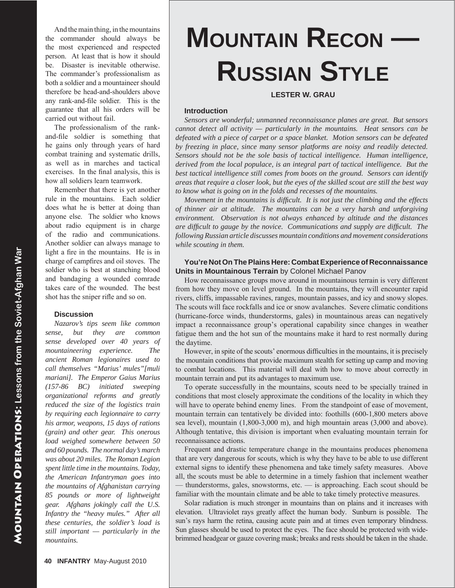And the main thing, in the mountains the commander should always be the most experienced and respected person. At least that is how it should be. Disaster is inevitable otherwise. The commander's professionalism as both a soldier and a mountaineer should therefore be head-and-shoulders above any rank-and-file soldier. This is the guarantee that all his orders will be carried out without fail.

The professionalism of the rankand-file soldier is something that he gains only through years of hard combat training and systematic drills, as well as in marches and tactical exercises. In the final analysis, this is how all soldiers learn teamwork.

Remember that there is yet another rule in the mountains. Each soldier does what he is better at doing than anyone else. The soldier who knows about radio equipment is in charge of the radio and communications. Another soldier can always manage to light a fire in the mountains. He is in charge of campfires and oil stoves. The soldier who is best at stanching blood and bandaging a wounded comrade takes care of the wounded. The best shot has the sniper rifle and so on.

#### **Discussion**

*Nazarov's tips seem like common sense, but they are common sense developed over 40 years of mountaineering experience. The ancient Roman legionaires used to call themselves "Marius' mules"[muli mariani]. The Emperor Gaius Marius (157-86 BC) initiated sweeping organizational reforms and greatly reduced the size of the logistics train by requiring each legionnaire to carry his armor, weapons, 15 days of rations (grain) and other gear. This onerous load weighed somewhere between 50 and 60 pounds. The normal day's march was about 20 miles. The Roman Legion spent little time in the mountains. Today, the American Infantryman goes into the mountains of Afghanistan carrying 85 pounds or more of lightweight gear. Afghans jokingly call the U.S. Infantry the "heavy mules." After all these centuries, the soldier's load is still important — particularly in the mountains.* 

## **MOUNTAIN RECON — RUSSIAN STYLE**

**LESTER W. GRAU**

#### **Introduction**

*Sensors are wonderful; unmanned reconnaissance planes are great. But sensors cannot detect all activity — particularly in the mountains. Heat sensors can be defeated with a piece of carpet or a space blanket. Motion sensors can be defeated by freezing in place, since many sensor platforms are noisy and readily detected. Sensors should not be the sole basis of tactical intelligence. Human intelligence, derived from the local populace, is an integral part of tactical intelligence. But the best tactical intelligence still comes from boots on the ground. Sensors can identify areas that require a closer look, but the eyes of the skilled scout are still the best way to know what is going on in the folds and recesses of the mountains.* 

*Movement in the mountains is diffi cult. It is not just the climbing and the effects of thinner air at altitude. The mountains can be a very harsh and unforgiving environment. Observation is not always enhanced by altitude and the distances are difficult to gauge by the novice. Communications and supply are difficult. The following Russian article discusses mountain conditions and movement considerations while scouting in them.* 

#### **You're Not On The Plains Here: Combat Experience of Reconnaissance Units in Mountainous Terrain** by Colonel Michael Panov

How reconnaissance groups move around in mountainous terrain is very different from how they move on level ground. In the mountains, they will encounter rapid rivers, cliffs, impassable ravines, ranges, mountain passes, and icy and snowy slopes. The scouts will face rockfalls and ice or snow avalanches. Severe climatic conditions (hurricane-force winds, thunderstorms, gales) in mountainous areas can negatively impact a reconnaissance group's operational capability since changes in weather fatigue them and the hot sun of the mountains make it hard to rest normally during the daytime.

However, in spite of the scouts' enormous difficulties in the mountains, it is precisely the mountain conditions that provide maximum stealth for setting up camp and moving to combat locations. This material will deal with how to move about correctly in mountain terrain and put its advantages to maximum use.

To operate successfully in the mountains, scouts need to be specially trained in conditions that most closely approximate the conditions of the locality in which they will have to operate behind enemy lines. From the standpoint of ease of movement, mountain terrain can tentatively be divided into: foothills (600-1,800 meters above sea level), mountain (1,800-3,000 m), and high mountain areas (3,000 and above). Although tentative, this division is important when evaluating mountain terrain for reconnaissance actions.

Frequent and drastic temperature change in the mountains produces phenomena that are very dangerous for scouts, which is why they have to be able to use different external signs to identify these phenomena and take timely safety measures. Above all, the scouts must be able to determine in a timely fashion that inclement weather — thunderstorms, gales, snowstorms, etc. — is approaching. Each scout should be familiar with the mountain climate and be able to take timely protective measures.

Solar radiation is much stronger in mountains than on plains and it increases with elevation. Ultraviolet rays greatly affect the human body. Sunburn is possible. The sun's rays harm the retina, causing acute pain and at times even temporary blindness. Sun glasses should be used to protect the eyes. The face should be protected with widebrimmed headgear or gauze covering mask; breaks and rests should be taken in the shade.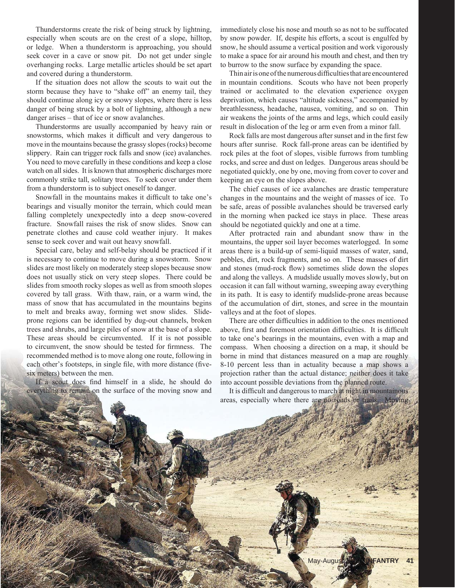Thunderstorms create the risk of being struck by lightning, especially when scouts are on the crest of a slope, hilltop, or ledge. When a thunderstorm is approaching, you should seek cover in a cave or snow pit. Do not get under single overhanging rocks. Large metallic articles should be set apart and covered during a thunderstorm.

If the situation does not allow the scouts to wait out the storm because they have to "shake off" an enemy tail, they should continue along icy or snowy slopes, where there is less danger of being struck by a bolt of lightning, although a new danger arises – that of ice or snow avalanches.

Thunderstorms are usually accompanied by heavy rain or snowstorms, which makes it difficult and very dangerous to move in the mountains because the grassy slopes (rocks) become slippery. Rain can trigger rock falls and snow (ice) avalanches. You need to move carefully in these conditions and keep a close watch on all sides. It is known that atmospheric discharges more commonly strike tall, solitary trees. To seek cover under them from a thunderstorm is to subject oneself to danger.

Snowfall in the mountains makes it difficult to take one's bearings and visually monitor the terrain, which could mean falling completely unexpectedly into a deep snow-covered fracture. Snowfall raises the risk of snow slides. Snow can penetrate clothes and cause cold weather injury. It makes sense to seek cover and wait out heavy snowfall.

Special care, belay and self-belay should be practiced if it is necessary to continue to move during a snowstorm. Snow slides are most likely on moderately steep slopes because snow does not usually stick on very steep slopes. There could be slides from smooth rocky slopes as well as from smooth slopes covered by tall grass. With thaw, rain, or a warm wind, the mass of snow that has accumulated in the mountains begins to melt and breaks away, forming wet snow slides. Slideprone regions can be identified by dug-out channels, broken trees and shrubs, and large piles of snow at the base of a slope. These areas should be circumvented. If it is not possible to circumvent, the snow should be tested for firmness. The recommended method is to move along one route, following in each other's footsteps, in single file, with more distance (fivesix meters) between the men.

If a scout does find himself in a slide, he should do everything to remain on the surface of the moving snow and

immediately close his nose and mouth so as not to be suffocated by snow powder. If, despite his efforts, a scout is engulfed by snow, he should assume a vertical position and work vigorously to make a space for air around his mouth and chest, and then try to burrow to the snow surface by expanding the space.

Thin air is one of the numerous difficulties that are encountered in mountain conditions. Scouts who have not been properly trained or acclimated to the elevation experience oxygen deprivation, which causes "altitude sickness," accompanied by breathlessness, headache, nausea, vomiting, and so on. Thin air weakens the joints of the arms and legs, which could easily result in dislocation of the leg or arm even from a minor fall.

Rock falls are most dangerous after sunset and in the first few hours after sunrise. Rock fall-prone areas can be identified by rock piles at the foot of slopes, visible furrows from tumbling rocks, and scree and dust on ledges. Dangerous areas should be negotiated quickly, one by one, moving from cover to cover and keeping an eye on the slopes above.

The chief causes of ice avalanches are drastic temperature changes in the mountains and the weight of masses of ice. To be safe, areas of possible avalanches should be traversed early in the morning when packed ice stays in place. These areas should be negotiated quickly and one at a time.

After protracted rain and abundant snow thaw in the mountains, the upper soil layer becomes waterlogged. In some areas there is a build-up of semi-liquid masses of water, sand, pebbles, dirt, rock fragments, and so on. These masses of dirt and stones (mud-rock flow) sometimes slide down the slopes and along the valleys. A mudslide usually moves slowly, but on occasion it can fall without warning, sweeping away everything in its path. It is easy to identify mudslide-prone areas because of the accumulation of dirt, stones, and scree in the mountain valleys and at the foot of slopes.

There are other difficulties in addition to the ones mentioned above, first and foremost orientation difficulties. It is difficult to take one's bearings in the mountains, even with a map and compass. When choosing a direction on a map, it should be borne in mind that distances measured on a map are roughly 8-10 percent less than in actuality because a map shows a projection rather than the actual distance; neither does it take into account possible deviations from the planned route.

It is difficult and dangerous to march at night in mountainous areas, especially where there are no roads or trails. Moving